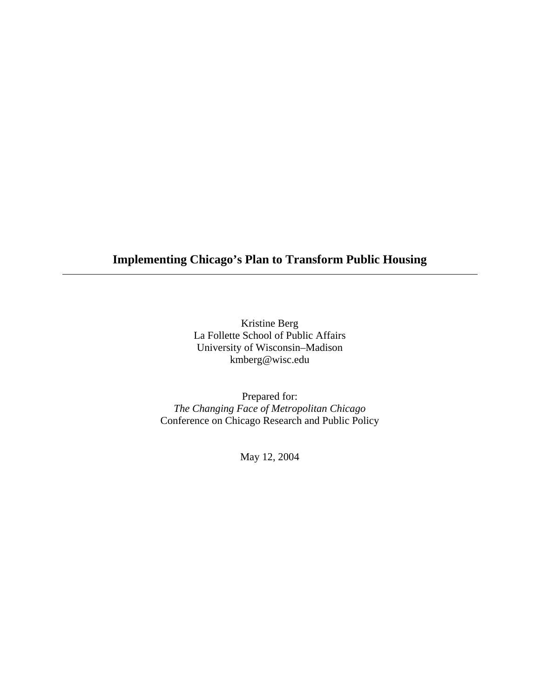## **Implementing Chicago's Plan to Transform Public Housing**

Kristine Berg La Follette School of Public Affairs University of Wisconsin–Madison kmberg@wisc.edu

Prepared for: *The Changing Face of Metropolitan Chicago*  Conference on Chicago Research and Public Policy

May 12, 2004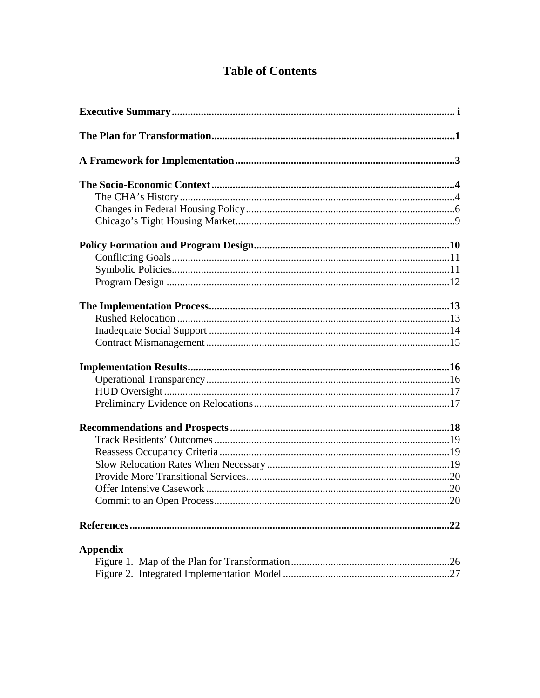# **Table of Contents**

| <b>Appendix</b> |
|-----------------|
|                 |
|                 |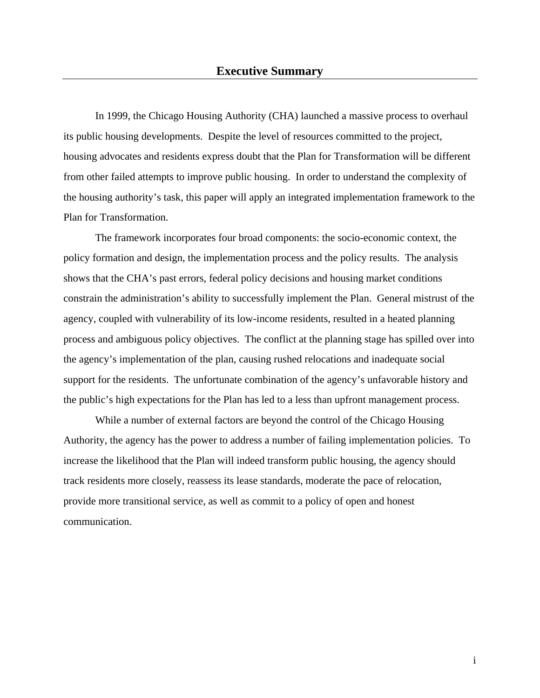In 1999, the Chicago Housing Authority (CHA) launched a massive process to overhaul its public housing developments. Despite the level of resources committed to the project, housing advocates and residents express doubt that the Plan for Transformation will be different from other failed attempts to improve public housing. In order to understand the complexity of the housing authority's task, this paper will apply an integrated implementation framework to the Plan for Transformation.

The framework incorporates four broad components: the socio-economic context, the policy formation and design, the implementation process and the policy results. The analysis shows that the CHA's past errors, federal policy decisions and housing market conditions constrain the administration's ability to successfully implement the Plan. General mistrust of the agency, coupled with vulnerability of its low-income residents, resulted in a heated planning process and ambiguous policy objectives. The conflict at the planning stage has spilled over into the agency's implementation of the plan, causing rushed relocations and inadequate social support for the residents. The unfortunate combination of the agency's unfavorable history and the public's high expectations for the Plan has led to a less than upfront management process.

While a number of external factors are beyond the control of the Chicago Housing Authority, the agency has the power to address a number of failing implementation policies. To increase the likelihood that the Plan will indeed transform public housing, the agency should track residents more closely, reassess its lease standards, moderate the pace of relocation, provide more transitional service, as well as commit to a policy of open and honest communication.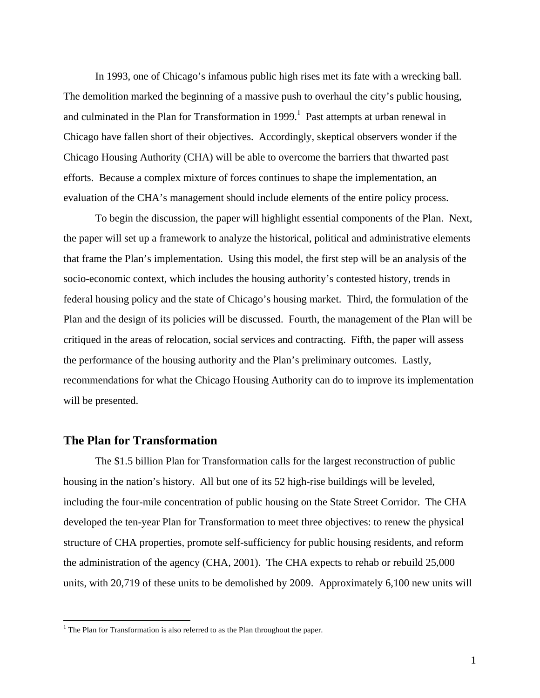In 1993, one of Chicago's infamous public high rises met its fate with a wrecking ball. The demolition marked the beginning of a massive push to overhaul the city's public housing, and culminated in the Plan for Transformation in  $1999$  $1999$ .<sup>1</sup> Past attempts at urban renewal in Chicago have fallen short of their objectives. Accordingly, skeptical observers wonder if the Chicago Housing Authority (CHA) will be able to overcome the barriers that thwarted past efforts. Because a complex mixture of forces continues to shape the implementation, an evaluation of the CHA's management should include elements of the entire policy process.

To begin the discussion, the paper will highlight essential components of the Plan. Next, the paper will set up a framework to analyze the historical, political and administrative elements that frame the Plan's implementation. Using this model, the first step will be an analysis of the socio-economic context, which includes the housing authority's contested history, trends in federal housing policy and the state of Chicago's housing market. Third, the formulation of the Plan and the design of its policies will be discussed. Fourth, the management of the Plan will be critiqued in the areas of relocation, social services and contracting. Fifth, the paper will assess the performance of the housing authority and the Plan's preliminary outcomes. Lastly, recommendations for what the Chicago Housing Authority can do to improve its implementation will be presented.

#### **The Plan for Transformation**

 $\overline{a}$ 

The \$1.5 billion Plan for Transformation calls for the largest reconstruction of public housing in the nation's history. All but one of its 52 high-rise buildings will be leveled, including the four-mile concentration of public housing on the State Street Corridor. The CHA developed the ten-year Plan for Transformation to meet three objectives: to renew the physical structure of CHA properties, promote self-sufficiency for public housing residents, and reform the administration of the agency (CHA, 2001). The CHA expects to rehab or rebuild 25,000 units, with 20,719 of these units to be demolished by 2009. Approximately 6,100 new units will

<span id="page-3-0"></span><sup>&</sup>lt;sup>1</sup> The Plan for Transformation is also referred to as the Plan throughout the paper.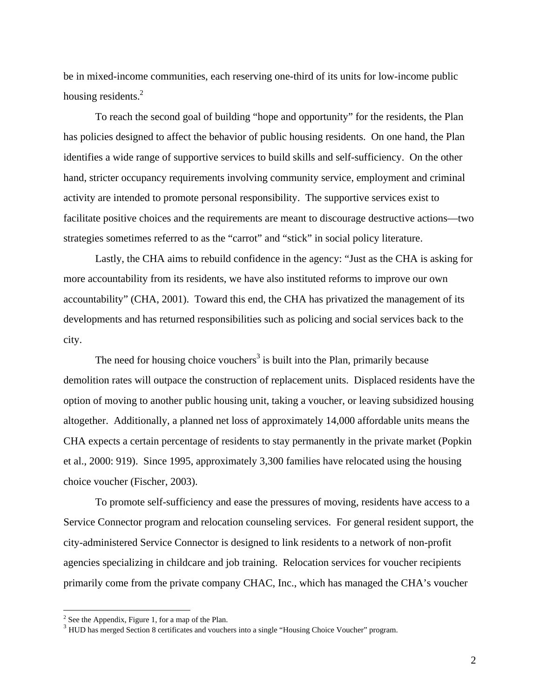be in mixed-income communities, each reserving one-third of its units for low-income public housing residents.<sup>2</sup>

To reach the second goal of building "hope and opportunity" for the residents, the Plan has policies designed to affect the behavior of public housing residents. On one hand, the Plan identifies a wide range of supportive services to build skills and self-sufficiency. On the other hand, stricter occupancy requirements involving community service, employment and criminal activity are intended to promote personal responsibility. The supportive services exist to facilitate positive choices and the requirements are meant to discourage destructive actions—two strategies sometimes referred to as the "carrot" and "stick" in social policy literature.

Lastly, the CHA aims to rebuild confidence in the agency: "Just as the CHA is asking for more accountability from its residents, we have also instituted reforms to improve our own accountability" (CHA, 2001). Toward this end, the CHA has privatized the management of its developments and has returned responsibilities such as policing and social services back to the city.

The need for housing choice vouchers<sup>3</sup> is built into the Plan, primarily because demolition rates will outpace the construction of replacement units. Displaced residents have the option of moving to another public housing unit, taking a voucher, or leaving subsidized housing altogether. Additionally, a planned net loss of approximately 14,000 affordable units means the CHA expects a certain percentage of residents to stay permanently in the private market (Popkin et al., 2000: 919). Since 1995, approximately 3,300 families have relocated using the housing choice voucher (Fischer, 2003).

To promote self-sufficiency and ease the pressures of moving, residents have access to a Service Connector program and relocation counseling services. For general resident support, the city-administered Service Connector is designed to link residents to a network of non-profit agencies specializing in childcare and job training. Relocation services for voucher recipients primarily come from the private company CHAC, Inc., which has managed the CHA's voucher

 $\overline{a}$ 

<span id="page-4-0"></span> $2$  See the Appendix, Figure 1, for a map of the Plan.

<span id="page-4-1"></span> $3$  HUD has merged Section 8 certificates and vouchers into a single "Housing Choice Voucher" program.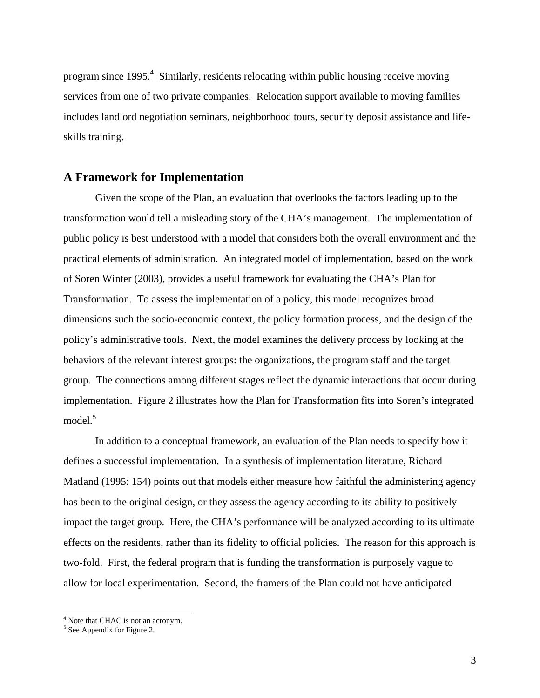program since 1995.<sup>4</sup> Similarly, residents relocating within public housing receive moving services from one of two private companies. Relocation support available to moving families includes landlord negotiation seminars, neighborhood tours, security deposit assistance and lifeskills training.

#### **A Framework for Implementation**

Given the scope of the Plan, an evaluation that overlooks the factors leading up to the transformation would tell a misleading story of the CHA's management. The implementation of public policy is best understood with a model that considers both the overall environment and the practical elements of administration. An integrated model of implementation, based on the work of Soren Winter (2003), provides a useful framework for evaluating the CHA's Plan for Transformation. To assess the implementation of a policy, this model recognizes broad dimensions such the socio-economic context, the policy formation process, and the design of the policy's administrative tools. Next, the model examines the delivery process by looking at the behaviors of the relevant interest groups: the organizations, the program staff and the target group. The connections among different stages reflect the dynamic interactions that occur during implementation. Figure 2 illustrates how the Plan for Transformation fits into Soren's integrated model.<sup>5</sup>

In addition to a conceptual framework, an evaluation of the Plan needs to specify how it defines a successful implementation. In a synthesis of implementation literature, Richard Matland (1995: 154) points out that models either measure how faithful the administering agency has been to the original design, or they assess the agency according to its ability to positively impact the target group. Here, the CHA's performance will be analyzed according to its ultimate effects on the residents, rather than its fidelity to official policies. The reason for this approach is two-fold. First, the federal program that is funding the transformation is purposely vague to allow for local experimentation. Second, the framers of the Plan could not have anticipated

 $^{4}$  Note that CHAC is not an acronym.

<span id="page-5-1"></span><span id="page-5-0"></span> $<sup>5</sup>$  See Appendix for Figure 2.</sup>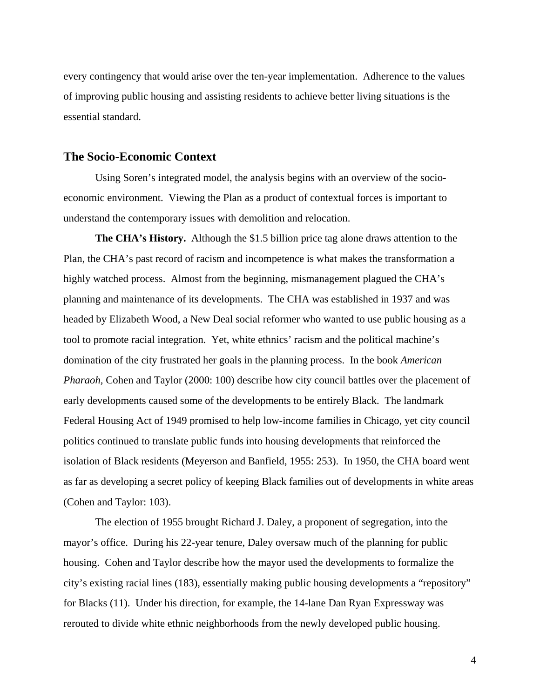every contingency that would arise over the ten-year implementation. Adherence to the values of improving public housing and assisting residents to achieve better living situations is the essential standard.

### **The Socio-Economic Context**

Using Soren's integrated model, the analysis begins with an overview of the socioeconomic environment. Viewing the Plan as a product of contextual forces is important to understand the contemporary issues with demolition and relocation.

**The CHA's History.** Although the \$1.5 billion price tag alone draws attention to the Plan, the CHA's past record of racism and incompetence is what makes the transformation a highly watched process. Almost from the beginning, mismanagement plagued the CHA's planning and maintenance of its developments. The CHA was established in 1937 and was headed by Elizabeth Wood, a New Deal social reformer who wanted to use public housing as a tool to promote racial integration. Yet, white ethnics' racism and the political machine's domination of the city frustrated her goals in the planning process. In the book *American Pharaoh,* Cohen and Taylor (2000: 100) describe how city council battles over the placement of early developments caused some of the developments to be entirely Black. The landmark Federal Housing Act of 1949 promised to help low-income families in Chicago, yet city council politics continued to translate public funds into housing developments that reinforced the isolation of Black residents (Meyerson and Banfield, 1955: 253). In 1950, the CHA board went as far as developing a secret policy of keeping Black families out of developments in white areas (Cohen and Taylor: 103).

The election of 1955 brought Richard J. Daley, a proponent of segregation, into the mayor's office. During his 22-year tenure, Daley oversaw much of the planning for public housing. Cohen and Taylor describe how the mayor used the developments to formalize the city's existing racial lines (183), essentially making public housing developments a "repository" for Blacks (11). Under his direction, for example, the 14-lane Dan Ryan Expressway was rerouted to divide white ethnic neighborhoods from the newly developed public housing.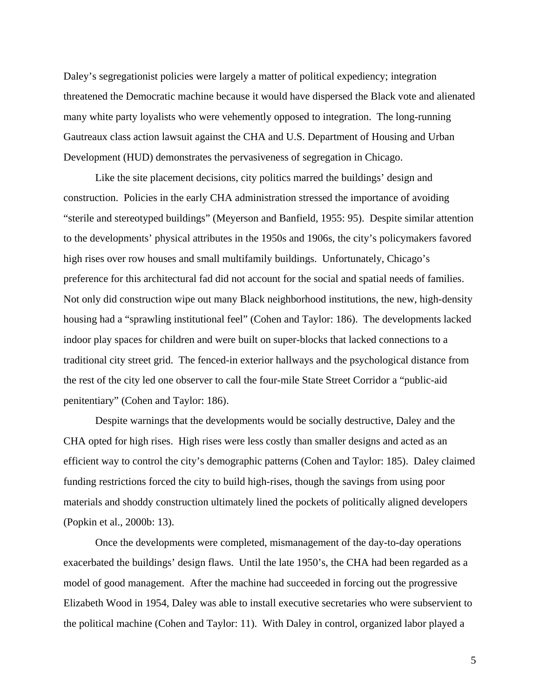Daley's segregationist policies were largely a matter of political expediency; integration threatened the Democratic machine because it would have dispersed the Black vote and alienated many white party loyalists who were vehemently opposed to integration. The long-running Gautreaux class action lawsuit against the CHA and U.S. Department of Housing and Urban Development (HUD) demonstrates the pervasiveness of segregation in Chicago.

Like the site placement decisions, city politics marred the buildings' design and construction. Policies in the early CHA administration stressed the importance of avoiding "sterile and stereotyped buildings" (Meyerson and Banfield, 1955: 95). Despite similar attention to the developments' physical attributes in the 1950s and 1906s, the city's policymakers favored high rises over row houses and small multifamily buildings. Unfortunately, Chicago's preference for this architectural fad did not account for the social and spatial needs of families. Not only did construction wipe out many Black neighborhood institutions, the new, high-density housing had a "sprawling institutional feel" (Cohen and Taylor: 186). The developments lacked indoor play spaces for children and were built on super-blocks that lacked connections to a traditional city street grid. The fenced-in exterior hallways and the psychological distance from the rest of the city led one observer to call the four-mile State Street Corridor a "public-aid penitentiary" (Cohen and Taylor: 186).

Despite warnings that the developments would be socially destructive, Daley and the CHA opted for high rises. High rises were less costly than smaller designs and acted as an efficient way to control the city's demographic patterns (Cohen and Taylor: 185). Daley claimed funding restrictions forced the city to build high-rises, though the savings from using poor materials and shoddy construction ultimately lined the pockets of politically aligned developers (Popkin et al., 2000b: 13).

Once the developments were completed, mismanagement of the day-to-day operations exacerbated the buildings' design flaws. Until the late 1950's, the CHA had been regarded as a model of good management. After the machine had succeeded in forcing out the progressive Elizabeth Wood in 1954, Daley was able to install executive secretaries who were subservient to the political machine (Cohen and Taylor: 11). With Daley in control, organized labor played a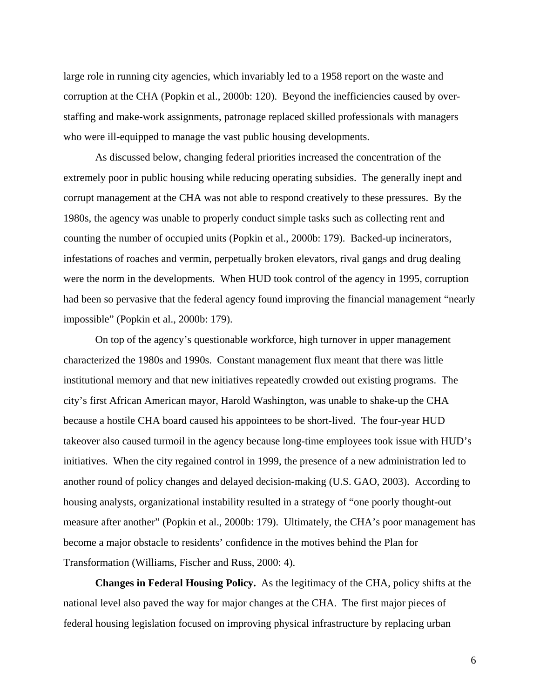large role in running city agencies, which invariably led to a 1958 report on the waste and corruption at the CHA (Popkin et al., 2000b: 120). Beyond the inefficiencies caused by overstaffing and make-work assignments, patronage replaced skilled professionals with managers who were ill-equipped to manage the vast public housing developments.

As discussed below, changing federal priorities increased the concentration of the extremely poor in public housing while reducing operating subsidies. The generally inept and corrupt management at the CHA was not able to respond creatively to these pressures. By the 1980s, the agency was unable to properly conduct simple tasks such as collecting rent and counting the number of occupied units (Popkin et al., 2000b: 179). Backed-up incinerators, infestations of roaches and vermin, perpetually broken elevators, rival gangs and drug dealing were the norm in the developments. When HUD took control of the agency in 1995, corruption had been so pervasive that the federal agency found improving the financial management "nearly impossible" (Popkin et al., 2000b: 179).

On top of the agency's questionable workforce, high turnover in upper management characterized the 1980s and 1990s. Constant management flux meant that there was little institutional memory and that new initiatives repeatedly crowded out existing programs. The city's first African American mayor, Harold Washington, was unable to shake-up the CHA because a hostile CHA board caused his appointees to be short-lived. The four-year HUD takeover also caused turmoil in the agency because long-time employees took issue with HUD's initiatives. When the city regained control in 1999, the presence of a new administration led to another round of policy changes and delayed decision-making (U.S. GAO, 2003). According to housing analysts, organizational instability resulted in a strategy of "one poorly thought-out measure after another" (Popkin et al., 2000b: 179). Ultimately, the CHA's poor management has become a major obstacle to residents' confidence in the motives behind the Plan for Transformation (Williams, Fischer and Russ, 2000: 4).

**Changes in Federal Housing Policy.** As the legitimacy of the CHA, policy shifts at the national level also paved the way for major changes at the CHA. The first major pieces of federal housing legislation focused on improving physical infrastructure by replacing urban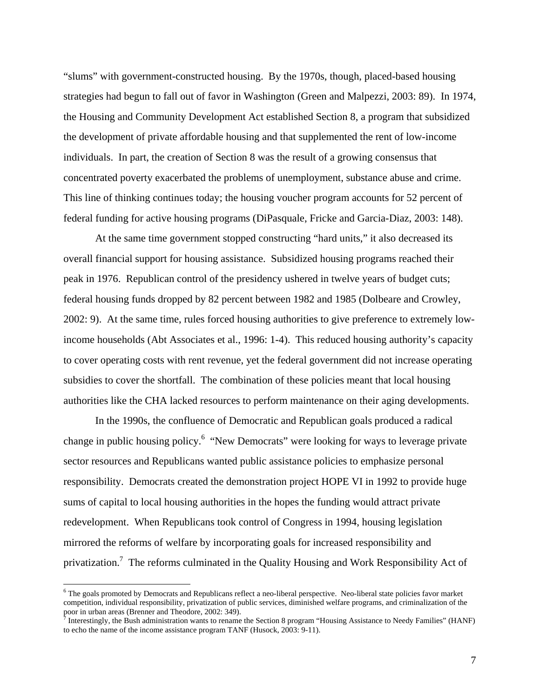"slums" with government-constructed housing. By the 1970s, though, placed-based housing strategies had begun to fall out of favor in Washington (Green and Malpezzi, 2003: 89). In 1974, the Housing and Community Development Act established Section 8, a program that subsidized the development of private affordable housing and that supplemented the rent of low-income individuals. In part, the creation of Section 8 was the result of a growing consensus that concentrated poverty exacerbated the problems of unemployment, substance abuse and crime. This line of thinking continues today; the housing voucher program accounts for 52 percent of federal funding for active housing programs (DiPasquale, Fricke and Garcia-Diaz, 2003: 148).

At the same time government stopped constructing "hard units," it also decreased its overall financial support for housing assistance. Subsidized housing programs reached their peak in 1976. Republican control of the presidency ushered in twelve years of budget cuts; federal housing funds dropped by 82 percent between 1982 and 1985 (Dolbeare and Crowley, 2002: 9). At the same time, rules forced housing authorities to give preference to extremely lowincome households (Abt Associates et al., 1996: 1-4). This reduced housing authority's capacity to cover operating costs with rent revenue, yet the federal government did not increase operating subsidies to cover the shortfall. The combination of these policies meant that local housing authorities like the CHA lacked resources to perform maintenance on their aging developments.

In the 1990s, the confluence of Democratic and Republican goals produced a radical change in public housing policy.<sup>6</sup> "New Democrats" were looking for ways to leverage private sector resources and Republicans wanted public assistance policies to emphasize personal responsibility. Democrats created the demonstration project HOPE VI in 1992 to provide huge sums of capital to local housing authorities in the hopes the funding would attract private redevelopment. When Republicans took control of Congress in 1994, housing legislation mirrored the reforms of welfare by incorporating goals for increased responsibility and privatization.<sup>[7](#page-9-1)</sup> The reforms culminated in the Quality Housing and Work Responsibility Act of

 $\overline{a}$ 

<span id="page-9-0"></span><sup>&</sup>lt;sup>6</sup> The goals promoted by Democrats and Republicans reflect a neo-liberal perspective. Neo-liberal state policies favor market competition, individual responsibility, privatization of public services, diminished welfare programs, and criminalization of the poor in urban areas (Brenner and Theodore, 2002: 349). 7

<span id="page-9-1"></span>Interestingly, the Bush administration wants to rename the Section 8 program "Housing Assistance to Needy Families" (HANF) to echo the name of the income assistance program TANF (Husock, 2003: 9-11).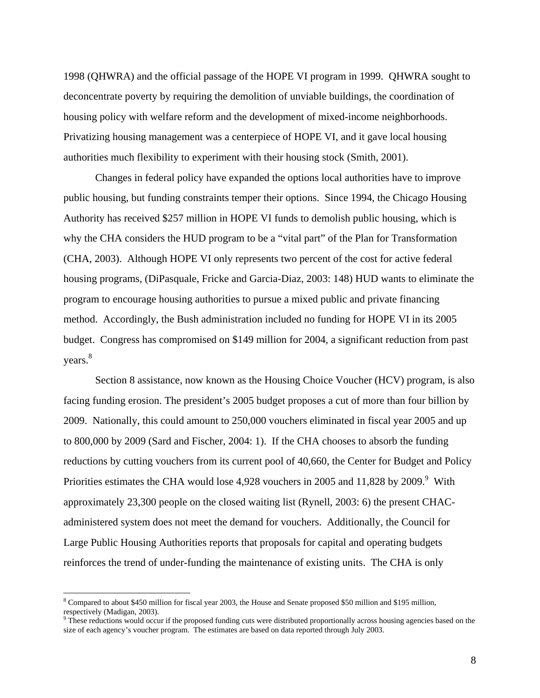1998 (QHWRA) and the official passage of the HOPE VI program in 1999. QHWRA sought to deconcentrate poverty by requiring the demolition of unviable buildings, the coordination of housing policy with welfare reform and the development of mixed-income neighborhoods. Privatizing housing management was a centerpiece of HOPE VI, and it gave local housing authorities much flexibility to experiment with their housing stock (Smith, 2001).

Changes in federal policy have expanded the options local authorities have to improve public housing, but funding constraints temper their options. Since 1994, the Chicago Housing Authority has received \$257 million in HOPE VI funds to demolish public housing, which is why the CHA considers the HUD program to be a "vital part" of the Plan for Transformation (CHA, 2003). Although HOPE VI only represents two percent of the cost for active federal housing programs, (DiPasquale, Fricke and Garcia-Diaz, 2003: 148) HUD wants to eliminate the program to encourage housing authorities to pursue a mixed public and private financing method. Accordingly, the Bush administration included no funding for HOPE VI in its 2005 budget. Congress has compromised on \$149 million for 2004, a significant reduction from past years.<sup>8</sup>

Section 8 assistance, now known as the Housing Choice Voucher (HCV) program, is also facing funding erosion. The president's 2005 budget proposes a cut of more than four billion by 2009. Nationally, this could amount to 250,000 vouchers eliminated in fiscal year 2005 and up to 800,000 by 2009 (Sard and Fischer, 2004: 1). If the CHA chooses to absorb the funding reductions by cutting vouchers from its current pool of 40,660, the Center for Budget and Policy Priorities estimates the CHA would lose 4,[9](#page-10-1)28 vouchers in 2005 and 11,828 by 2009. $9$  With approximately 23,300 people on the closed waiting list (Rynell, 2003: 6) the present CHACadministered system does not meet the demand for vouchers. Additionally, the Council for Large Public Housing Authorities reports that proposals for capital and operating budgets reinforces the trend of under-funding the maintenance of existing units. The CHA is only

 $\overline{a}$ 

<span id="page-10-0"></span><sup>&</sup>lt;sup>8</sup> Compared to about \$450 million for fiscal year 2003, the House and Senate proposed \$50 million and \$195 million, respectively (Madigan, 2003).<br><sup>9</sup> These reductions would occur if the proposed funding cuts were distributed proportionally across housing agencies based on the

<span id="page-10-1"></span>size of each agency's voucher program. The estimates are based on data reported through July 2003.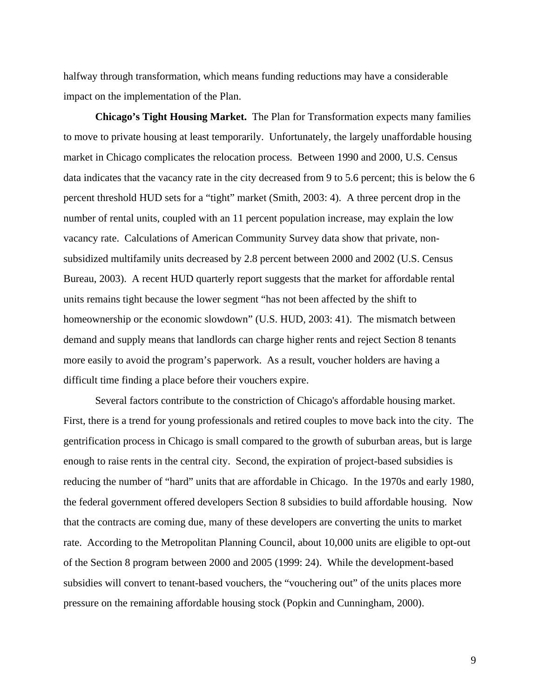halfway through transformation, which means funding reductions may have a considerable impact on the implementation of the Plan.

**Chicago's Tight Housing Market.** The Plan for Transformation expects many families to move to private housing at least temporarily. Unfortunately, the largely unaffordable housing market in Chicago complicates the relocation process. Between 1990 and 2000, U.S. Census data indicates that the vacancy rate in the city decreased from 9 to 5.6 percent; this is below the 6 percent threshold HUD sets for a "tight" market (Smith, 2003: 4). A three percent drop in the number of rental units, coupled with an 11 percent population increase, may explain the low vacancy rate. Calculations of American Community Survey data show that private, nonsubsidized multifamily units decreased by 2.8 percent between 2000 and 2002 (U.S. Census Bureau, 2003). A recent HUD quarterly report suggests that the market for affordable rental units remains tight because the lower segment "has not been affected by the shift to homeownership or the economic slowdown" (U.S. HUD, 2003: 41). The mismatch between demand and supply means that landlords can charge higher rents and reject Section 8 tenants more easily to avoid the program's paperwork. As a result, voucher holders are having a difficult time finding a place before their vouchers expire.

Several factors contribute to the constriction of Chicago's affordable housing market. First, there is a trend for young professionals and retired couples to move back into the city. The gentrification process in Chicago is small compared to the growth of suburban areas, but is large enough to raise rents in the central city. Second, the expiration of project-based subsidies is reducing the number of "hard" units that are affordable in Chicago. In the 1970s and early 1980, the federal government offered developers Section 8 subsidies to build affordable housing. Now that the contracts are coming due, many of these developers are converting the units to market rate. According to the Metropolitan Planning Council, about 10,000 units are eligible to opt-out of the Section 8 program between 2000 and 2005 (1999: 24). While the development-based subsidies will convert to tenant-based vouchers, the "vouchering out" of the units places more pressure on the remaining affordable housing stock (Popkin and Cunningham, 2000).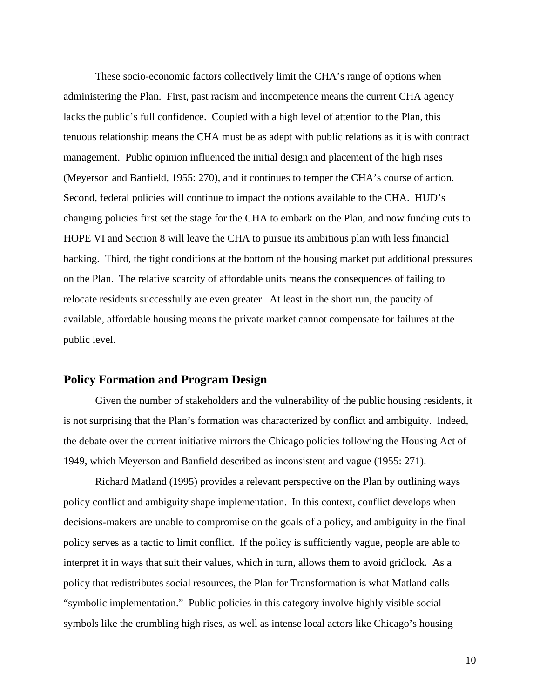These socio-economic factors collectively limit the CHA's range of options when administering the Plan. First, past racism and incompetence means the current CHA agency lacks the public's full confidence. Coupled with a high level of attention to the Plan, this tenuous relationship means the CHA must be as adept with public relations as it is with contract management. Public opinion influenced the initial design and placement of the high rises (Meyerson and Banfield, 1955: 270), and it continues to temper the CHA's course of action. Second, federal policies will continue to impact the options available to the CHA. HUD's changing policies first set the stage for the CHA to embark on the Plan, and now funding cuts to HOPE VI and Section 8 will leave the CHA to pursue its ambitious plan with less financial backing. Third, the tight conditions at the bottom of the housing market put additional pressures on the Plan. The relative scarcity of affordable units means the consequences of failing to relocate residents successfully are even greater. At least in the short run, the paucity of available, affordable housing means the private market cannot compensate for failures at the public level.

#### **Policy Formation and Program Design**

Given the number of stakeholders and the vulnerability of the public housing residents, it is not surprising that the Plan's formation was characterized by conflict and ambiguity. Indeed, the debate over the current initiative mirrors the Chicago policies following the Housing Act of 1949, which Meyerson and Banfield described as inconsistent and vague (1955: 271).

Richard Matland (1995) provides a relevant perspective on the Plan by outlining ways policy conflict and ambiguity shape implementation. In this context, conflict develops when decisions-makers are unable to compromise on the goals of a policy, and ambiguity in the final policy serves as a tactic to limit conflict. If the policy is sufficiently vague, people are able to interpret it in ways that suit their values, which in turn, allows them to avoid gridlock. As a policy that redistributes social resources, the Plan for Transformation is what Matland calls "symbolic implementation." Public policies in this category involve highly visible social symbols like the crumbling high rises, as well as intense local actors like Chicago's housing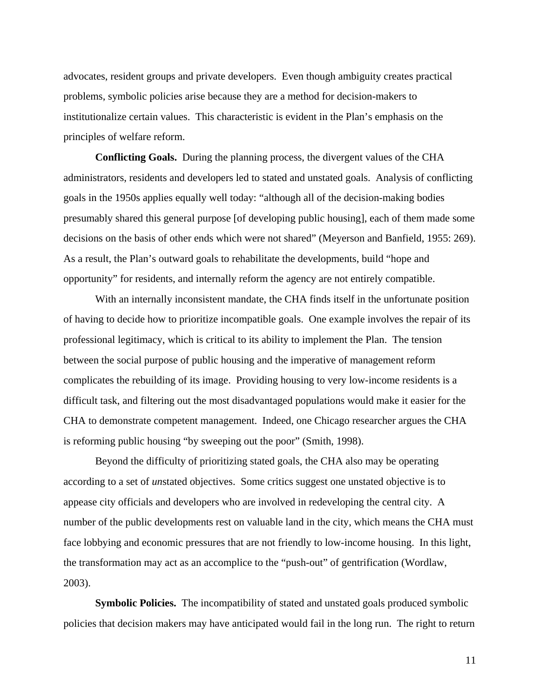advocates, resident groups and private developers. Even though ambiguity creates practical problems, symbolic policies arise because they are a method for decision-makers to institutionalize certain values. This characteristic is evident in the Plan's emphasis on the principles of welfare reform.

**Conflicting Goals.** During the planning process, the divergent values of the CHA administrators, residents and developers led to stated and unstated goals. Analysis of conflicting goals in the 1950s applies equally well today: "although all of the decision-making bodies presumably shared this general purpose [of developing public housing], each of them made some decisions on the basis of other ends which were not shared" (Meyerson and Banfield, 1955: 269). As a result, the Plan's outward goals to rehabilitate the developments, build "hope and opportunity" for residents, and internally reform the agency are not entirely compatible.

With an internally inconsistent mandate, the CHA finds itself in the unfortunate position of having to decide how to prioritize incompatible goals. One example involves the repair of its professional legitimacy, which is critical to its ability to implement the Plan. The tension between the social purpose of public housing and the imperative of management reform complicates the rebuilding of its image. Providing housing to very low-income residents is a difficult task, and filtering out the most disadvantaged populations would make it easier for the CHA to demonstrate competent management. Indeed, one Chicago researcher argues the CHA is reforming public housing "by sweeping out the poor" (Smith, 1998).

Beyond the difficulty of prioritizing stated goals, the CHA also may be operating according to a set of *un*stated objectives. Some critics suggest one unstated objective is to appease city officials and developers who are involved in redeveloping the central city. A number of the public developments rest on valuable land in the city, which means the CHA must face lobbying and economic pressures that are not friendly to low-income housing. In this light, the transformation may act as an accomplice to the "push-out" of gentrification (Wordlaw, 2003).

**Symbolic Policies.** The incompatibility of stated and unstated goals produced symbolic policies that decision makers may have anticipated would fail in the long run. The right to return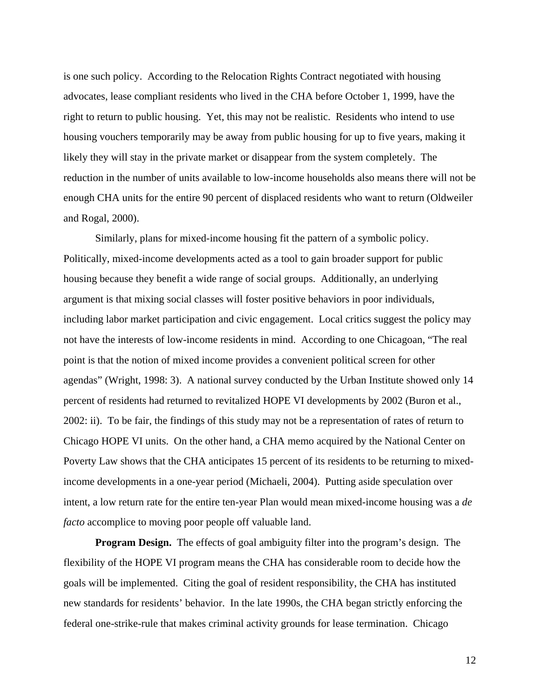is one such policy. According to the Relocation Rights Contract negotiated with housing advocates, lease compliant residents who lived in the CHA before October 1, 1999, have the right to return to public housing. Yet, this may not be realistic. Residents who intend to use housing vouchers temporarily may be away from public housing for up to five years, making it likely they will stay in the private market or disappear from the system completely. The reduction in the number of units available to low-income households also means there will not be enough CHA units for the entire 90 percent of displaced residents who want to return (Oldweiler and Rogal, 2000).

Similarly, plans for mixed-income housing fit the pattern of a symbolic policy. Politically, mixed-income developments acted as a tool to gain broader support for public housing because they benefit a wide range of social groups. Additionally, an underlying argument is that mixing social classes will foster positive behaviors in poor individuals, including labor market participation and civic engagement. Local critics suggest the policy may not have the interests of low-income residents in mind. According to one Chicagoan, "The real point is that the notion of mixed income provides a convenient political screen for other agendas" (Wright, 1998: 3). A national survey conducted by the Urban Institute showed only 14 percent of residents had returned to revitalized HOPE VI developments by 2002 (Buron et al., 2002: ii). To be fair, the findings of this study may not be a representation of rates of return to Chicago HOPE VI units. On the other hand, a CHA memo acquired by the National Center on Poverty Law shows that the CHA anticipates 15 percent of its residents to be returning to mixedincome developments in a one-year period (Michaeli, 2004). Putting aside speculation over intent, a low return rate for the entire ten-year Plan would mean mixed-income housing was a *de facto* accomplice to moving poor people off valuable land.

**Program Design.** The effects of goal ambiguity filter into the program's design. The flexibility of the HOPE VI program means the CHA has considerable room to decide how the goals will be implemented. Citing the goal of resident responsibility, the CHA has instituted new standards for residents' behavior. In the late 1990s, the CHA began strictly enforcing the federal one-strike-rule that makes criminal activity grounds for lease termination. Chicago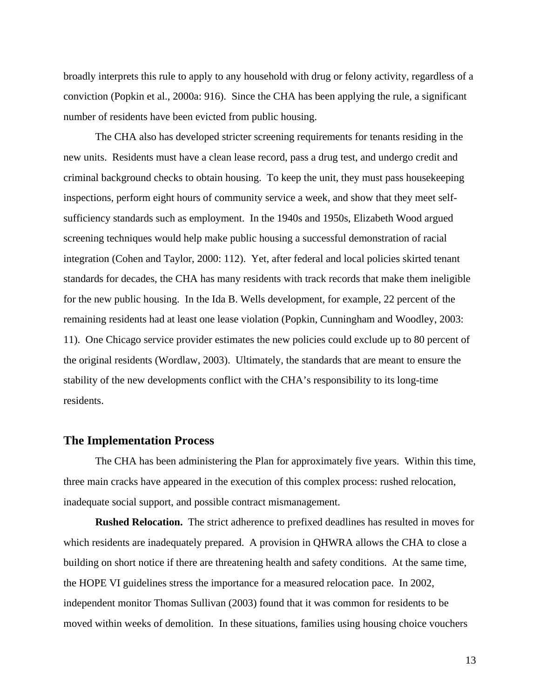broadly interprets this rule to apply to any household with drug or felony activity, regardless of a conviction (Popkin et al., 2000a: 916). Since the CHA has been applying the rule, a significant number of residents have been evicted from public housing.

The CHA also has developed stricter screening requirements for tenants residing in the new units. Residents must have a clean lease record, pass a drug test, and undergo credit and criminal background checks to obtain housing. To keep the unit, they must pass housekeeping inspections, perform eight hours of community service a week, and show that they meet selfsufficiency standards such as employment. In the 1940s and 1950s, Elizabeth Wood argued screening techniques would help make public housing a successful demonstration of racial integration (Cohen and Taylor, 2000: 112). Yet, after federal and local policies skirted tenant standards for decades, the CHA has many residents with track records that make them ineligible for the new public housing. In the Ida B. Wells development, for example, 22 percent of the remaining residents had at least one lease violation (Popkin, Cunningham and Woodley, 2003: 11). One Chicago service provider estimates the new policies could exclude up to 80 percent of the original residents (Wordlaw, 2003). Ultimately, the standards that are meant to ensure the stability of the new developments conflict with the CHA's responsibility to its long-time residents.

#### **The Implementation Process**

The CHA has been administering the Plan for approximately five years. Within this time, three main cracks have appeared in the execution of this complex process: rushed relocation, inadequate social support, and possible contract mismanagement.

**Rushed Relocation.** The strict adherence to prefixed deadlines has resulted in moves for which residents are inadequately prepared. A provision in QHWRA allows the CHA to close a building on short notice if there are threatening health and safety conditions. At the same time, the HOPE VI guidelines stress the importance for a measured relocation pace. In 2002, independent monitor Thomas Sullivan (2003) found that it was common for residents to be moved within weeks of demolition. In these situations, families using housing choice vouchers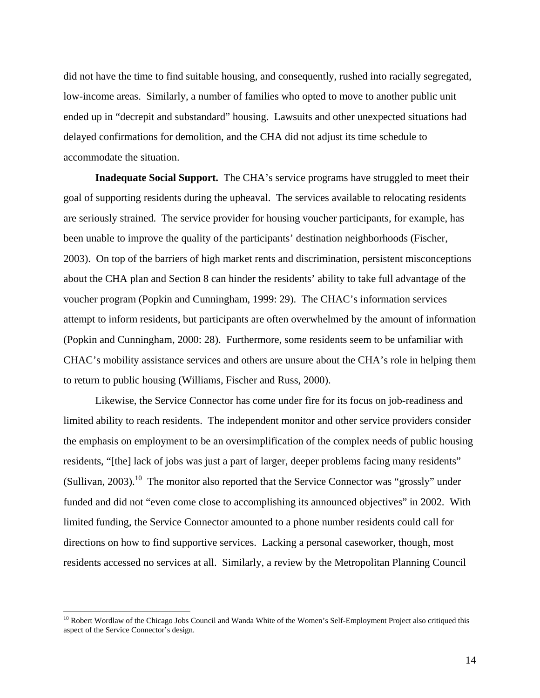did not have the time to find suitable housing, and consequently, rushed into racially segregated, low-income areas. Similarly, a number of families who opted to move to another public unit ended up in "decrepit and substandard" housing. Lawsuits and other unexpected situations had delayed confirmations for demolition, and the CHA did not adjust its time schedule to accommodate the situation.

**Inadequate Social Support.** The CHA's service programs have struggled to meet their goal of supporting residents during the upheaval. The services available to relocating residents are seriously strained. The service provider for housing voucher participants, for example, has been unable to improve the quality of the participants' destination neighborhoods (Fischer, 2003). On top of the barriers of high market rents and discrimination, persistent misconceptions about the CHA plan and Section 8 can hinder the residents' ability to take full advantage of the voucher program (Popkin and Cunningham, 1999: 29). The CHAC's information services attempt to inform residents, but participants are often overwhelmed by the amount of information (Popkin and Cunningham, 2000: 28). Furthermore, some residents seem to be unfamiliar with CHAC's mobility assistance services and others are unsure about the CHA's role in helping them to return to public housing (Williams, Fischer and Russ, 2000).

Likewise, the Service Connector has come under fire for its focus on job-readiness and limited ability to reach residents. The independent monitor and other service providers consider the emphasis on employment to be an oversimplification of the complex needs of public housing residents, "[the] lack of jobs was just a part of larger, deeper problems facing many residents" (Sullivan, 2003).<sup>10</sup> The monitor also reported that the Service Connector was "grossly" under funded and did not "even come close to accomplishing its announced objectives" in 2002. With limited funding, the Service Connector amounted to a phone number residents could call for directions on how to find supportive services. Lacking a personal caseworker, though, most residents accessed no services at all. Similarly, a review by the Metropolitan Planning Council

 $\overline{a}$ 

<span id="page-16-0"></span><sup>&</sup>lt;sup>10</sup> Robert Wordlaw of the Chicago Jobs Council and Wanda White of the Women's Self-Employment Project also critiqued this aspect of the Service Connector's design.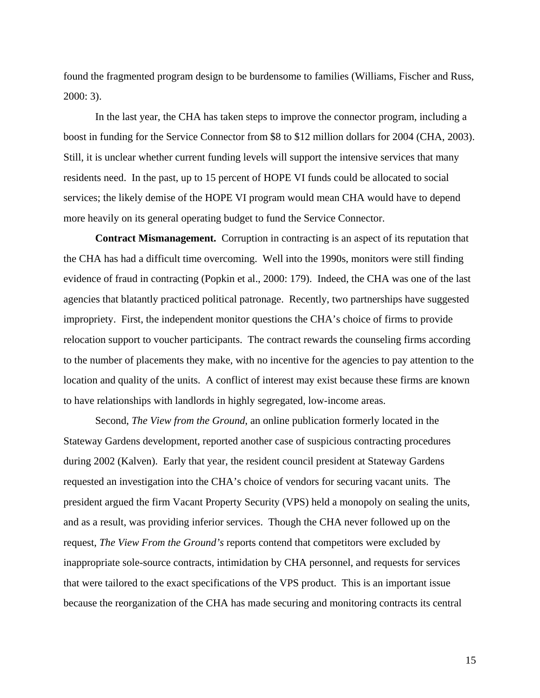found the fragmented program design to be burdensome to families (Williams, Fischer and Russ, 2000: 3).

In the last year, the CHA has taken steps to improve the connector program, including a boost in funding for the Service Connector from \$8 to \$12 million dollars for 2004 (CHA, 2003). Still, it is unclear whether current funding levels will support the intensive services that many residents need. In the past, up to 15 percent of HOPE VI funds could be allocated to social services; the likely demise of the HOPE VI program would mean CHA would have to depend more heavily on its general operating budget to fund the Service Connector.

**Contract Mismanagement.** Corruption in contracting is an aspect of its reputation that the CHA has had a difficult time overcoming. Well into the 1990s, monitors were still finding evidence of fraud in contracting (Popkin et al., 2000: 179). Indeed, the CHA was one of the last agencies that blatantly practiced political patronage. Recently, two partnerships have suggested impropriety. First, the independent monitor questions the CHA's choice of firms to provide relocation support to voucher participants. The contract rewards the counseling firms according to the number of placements they make, with no incentive for the agencies to pay attention to the location and quality of the units. A conflict of interest may exist because these firms are known to have relationships with landlords in highly segregated, low-income areas.

 Second, *The View from the Ground*, an online publication formerly located in the Stateway Gardens development, reported another case of suspicious contracting procedures during 2002 (Kalven). Early that year, the resident council president at Stateway Gardens requested an investigation into the CHA's choice of vendors for securing vacant units. The president argued the firm Vacant Property Security (VPS) held a monopoly on sealing the units, and as a result, was providing inferior services. Though the CHA never followed up on the request, *The View From the Ground's* reports contend that competitors were excluded by inappropriate sole-source contracts, intimidation by CHA personnel, and requests for services that were tailored to the exact specifications of the VPS product. This is an important issue because the reorganization of the CHA has made securing and monitoring contracts its central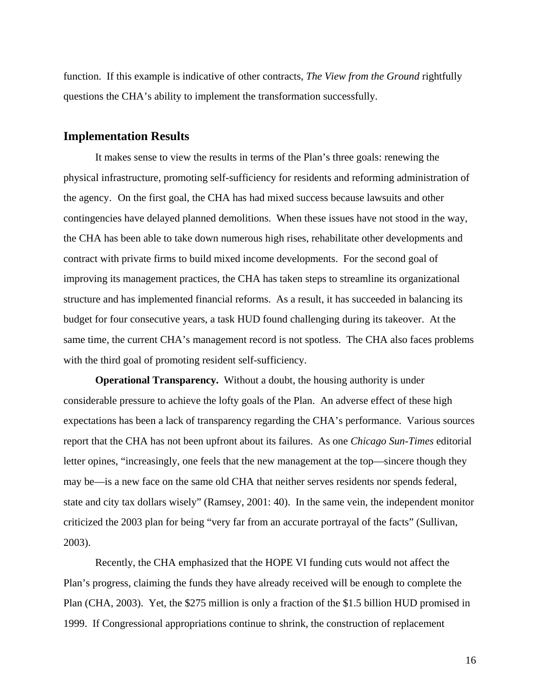function. If this example is indicative of other contracts, *The View from the Ground* rightfully questions the CHA's ability to implement the transformation successfully.

#### **Implementation Results**

It makes sense to view the results in terms of the Plan's three goals: renewing the physical infrastructure, promoting self-sufficiency for residents and reforming administration of the agency.On the first goal, the CHA has had mixed success because lawsuits and other contingencies have delayed planned demolitions. When these issues have not stood in the way, the CHA has been able to take down numerous high rises, rehabilitate other developments and contract with private firms to build mixed income developments. For the second goal of improving its management practices, the CHA has taken steps to streamline its organizational structure and has implemented financial reforms. As a result, it has succeeded in balancing its budget for four consecutive years, a task HUD found challenging during its takeover. At the same time, the current CHA's management record is not spotless. The CHA also faces problems with the third goal of promoting resident self-sufficiency.

**Operational Transparency.** Without a doubt, the housing authority is under considerable pressure to achieve the lofty goals of the Plan. An adverse effect of these high expectations has been a lack of transparency regarding the CHA's performance. Various sources report that the CHA has not been upfront about its failures. As one *Chicago Sun-Times* editorial letter opines, "increasingly, one feels that the new management at the top—sincere though they may be—is a new face on the same old CHA that neither serves residents nor spends federal, state and city tax dollars wisely" (Ramsey, 2001: 40). In the same vein, the independent monitor criticized the 2003 plan for being "very far from an accurate portrayal of the facts" (Sullivan, 2003).

Recently, the CHA emphasized that the HOPE VI funding cuts would not affect the Plan's progress, claiming the funds they have already received will be enough to complete the Plan (CHA, 2003). Yet, the \$275 million is only a fraction of the \$1.5 billion HUD promised in 1999. If Congressional appropriations continue to shrink, the construction of replacement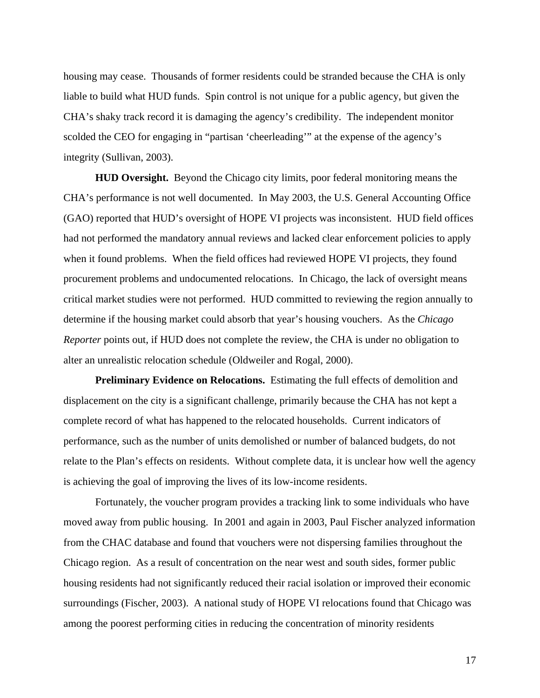housing may cease. Thousands of former residents could be stranded because the CHA is only liable to build what HUD funds. Spin control is not unique for a public agency, but given the CHA's shaky track record it is damaging the agency's credibility. The independent monitor scolded the CEO for engaging in "partisan 'cheerleading'" at the expense of the agency's integrity (Sullivan, 2003).

**HUD Oversight.** Beyond the Chicago city limits, poor federal monitoring means the CHA's performance is not well documented. In May 2003, the U.S. General Accounting Office (GAO) reported that HUD's oversight of HOPE VI projects was inconsistent. HUD field offices had not performed the mandatory annual reviews and lacked clear enforcement policies to apply when it found problems. When the field offices had reviewed HOPE VI projects, they found procurement problems and undocumented relocations. In Chicago, the lack of oversight means critical market studies were not performed. HUD committed to reviewing the region annually to determine if the housing market could absorb that year's housing vouchers. As the *Chicago Reporter* points out, if HUD does not complete the review, the CHA is under no obligation to alter an unrealistic relocation schedule (Oldweiler and Rogal, 2000).

**Preliminary Evidence on Relocations.** Estimating the full effects of demolition and displacement on the city is a significant challenge, primarily because the CHA has not kept a complete record of what has happened to the relocated households. Current indicators of performance, such as the number of units demolished or number of balanced budgets, do not relate to the Plan's effects on residents. Without complete data, it is unclear how well the agency is achieving the goal of improving the lives of its low-income residents.

Fortunately, the voucher program provides a tracking link to some individuals who have moved away from public housing. In 2001 and again in 2003, Paul Fischer analyzed information from the CHAC database and found that vouchers were not dispersing families throughout the Chicago region. As a result of concentration on the near west and south sides, former public housing residents had not significantly reduced their racial isolation or improved their economic surroundings (Fischer, 2003). A national study of HOPE VI relocations found that Chicago was among the poorest performing cities in reducing the concentration of minority residents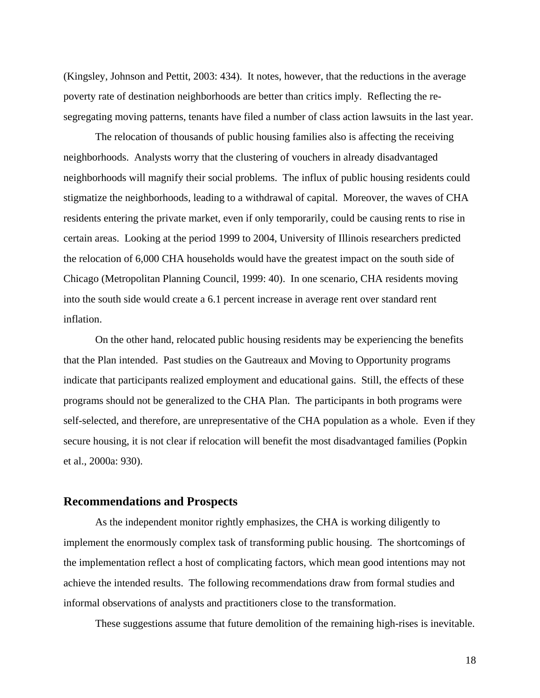(Kingsley, Johnson and Pettit, 2003: 434). It notes, however, that the reductions in the average poverty rate of destination neighborhoods are better than critics imply. Reflecting the resegregating moving patterns, tenants have filed a number of class action lawsuits in the last year.

The relocation of thousands of public housing families also is affecting the receiving neighborhoods. Analysts worry that the clustering of vouchers in already disadvantaged neighborhoods will magnify their social problems. The influx of public housing residents could stigmatize the neighborhoods, leading to a withdrawal of capital. Moreover, the waves of CHA residents entering the private market, even if only temporarily, could be causing rents to rise in certain areas. Looking at the period 1999 to 2004, University of Illinois researchers predicted the relocation of 6,000 CHA households would have the greatest impact on the south side of Chicago (Metropolitan Planning Council, 1999: 40). In one scenario, CHA residents moving into the south side would create a 6.1 percent increase in average rent over standard rent inflation.

On the other hand, relocated public housing residents may be experiencing the benefits that the Plan intended. Past studies on the Gautreaux and Moving to Opportunity programs indicate that participants realized employment and educational gains. Still, the effects of these programs should not be generalized to the CHA Plan. The participants in both programs were self-selected, and therefore, are unrepresentative of the CHA population as a whole. Even if they secure housing, it is not clear if relocation will benefit the most disadvantaged families (Popkin et al., 2000a: 930).

#### **Recommendations and Prospects**

As the independent monitor rightly emphasizes, the CHA is working diligently to implement the enormously complex task of transforming public housing. The shortcomings of the implementation reflect a host of complicating factors, which mean good intentions may not achieve the intended results. The following recommendations draw from formal studies and informal observations of analysts and practitioners close to the transformation.

These suggestions assume that future demolition of the remaining high-rises is inevitable.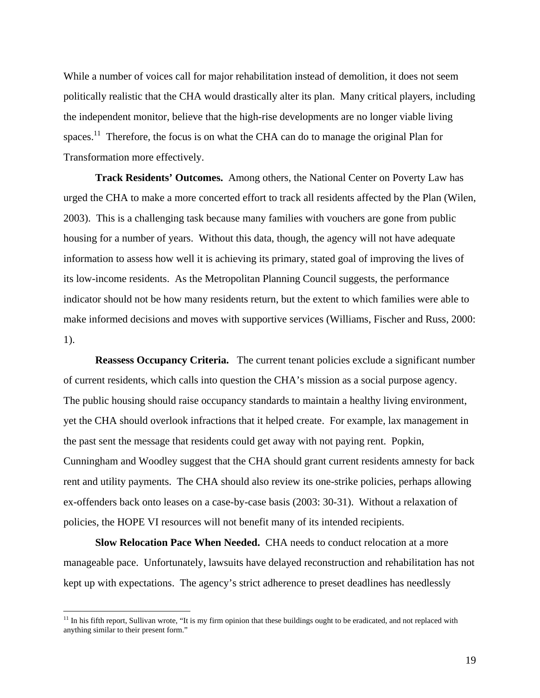While a number of voices call for major rehabilitation instead of demolition, it does not seem politically realistic that the CHA would drastically alter its plan. Many critical players, including the independent monitor, believe that the high-rise developments are no longer viable living spaces.<sup>11</sup> Therefore, the focus is on what the CHA can do to manage the original Plan for Transformation more effectively.

**Track Residents' Outcomes.** Among others, the National Center on Poverty Law has urged the CHA to make a more concerted effort to track all residents affected by the Plan (Wilen, 2003). This is a challenging task because many families with vouchers are gone from public housing for a number of years. Without this data, though, the agency will not have adequate information to assess how well it is achieving its primary, stated goal of improving the lives of its low-income residents. As the Metropolitan Planning Council suggests, the performance indicator should not be how many residents return, but the extent to which families were able to make informed decisions and moves with supportive services (Williams, Fischer and Russ, 2000: 1).

**Reassess Occupancy Criteria.** The current tenant policies exclude a significant number of current residents, which calls into question the CHA's mission as a social purpose agency. The public housing should raise occupancy standards to maintain a healthy living environment, yet the CHA should overlook infractions that it helped create. For example, lax management in the past sent the message that residents could get away with not paying rent. Popkin, Cunningham and Woodley suggest that the CHA should grant current residents amnesty for back rent and utility payments. The CHA should also review its one-strike policies, perhaps allowing ex-offenders back onto leases on a case-by-case basis (2003: 30-31). Without a relaxation of policies, the HOPE VI resources will not benefit many of its intended recipients.

**Slow Relocation Pace When Needed.** CHA needs to conduct relocation at a more manageable pace. Unfortunately, lawsuits have delayed reconstruction and rehabilitation has not kept up with expectations. The agency's strict adherence to preset deadlines has needlessly

 $\overline{a}$ 

<span id="page-21-0"></span><sup>&</sup>lt;sup>11</sup> In his fifth report, Sullivan wrote, "It is my firm opinion that these buildings ought to be eradicated, and not replaced with anything similar to their present form."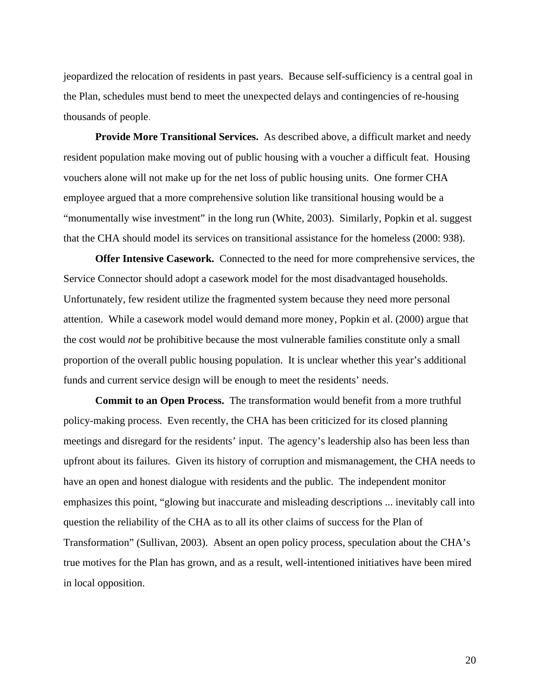jeopardized the relocation of residents in past years. Because self-sufficiency is a central goal in the Plan, schedules must bend to meet the unexpected delays and contingencies of re-housing thousands of people.

**Provide More Transitional Services.** As described above, a difficult market and needy resident population make moving out of public housing with a voucher a difficult feat. Housing vouchers alone will not make up for the net loss of public housing units. One former CHA employee argued that a more comprehensive solution like transitional housing would be a "monumentally wise investment" in the long run (White, 2003). Similarly, Popkin et al. suggest that the CHA should model its services on transitional assistance for the homeless (2000: 938).

**Offer Intensive Casework.** Connected to the need for more comprehensive services, the Service Connector should adopt a casework model for the most disadvantaged households. Unfortunately, few resident utilize the fragmented system because they need more personal attention. While a casework model would demand more money, Popkin et al. (2000) argue that the cost would *not* be prohibitive because the most vulnerable families constitute only a small proportion of the overall public housing population. It is unclear whether this year's additional funds and current service design will be enough to meet the residents' needs.

**Commit to an Open Process.** The transformation would benefit from a more truthful policy-making process. Even recently, the CHA has been criticized for its closed planning meetings and disregard for the residents' input. The agency's leadership also has been less than upfront about its failures. Given its history of corruption and mismanagement, the CHA needs to have an open and honest dialogue with residents and the public. The independent monitor emphasizes this point, "glowing but inaccurate and misleading descriptions ... inevitably call into question the reliability of the CHA as to all its other claims of success for the Plan of Transformation" (Sullivan, 2003). Absent an open policy process, speculation about the CHA's true motives for the Plan has grown, and as a result, well-intentioned initiatives have been mired in local opposition.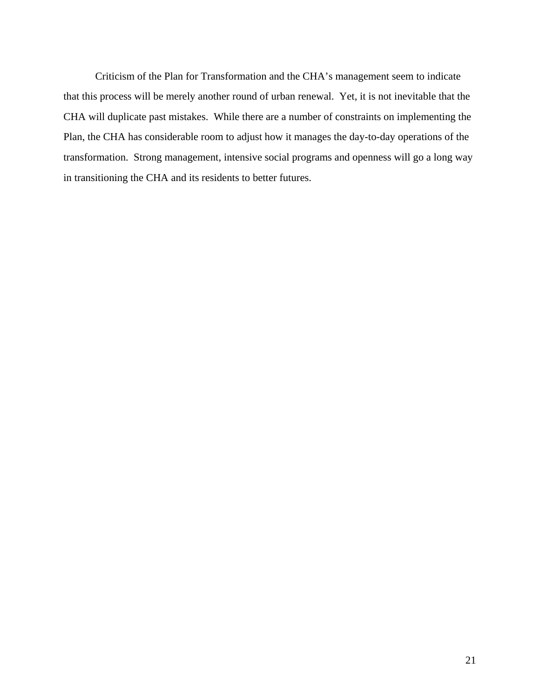Criticism of the Plan for Transformation and the CHA's management seem to indicate that this process will be merely another round of urban renewal. Yet, it is not inevitable that the CHA will duplicate past mistakes. While there are a number of constraints on implementing the Plan, the CHA has considerable room to adjust how it manages the day-to-day operations of the transformation. Strong management, intensive social programs and openness will go a long way in transitioning the CHA and its residents to better futures.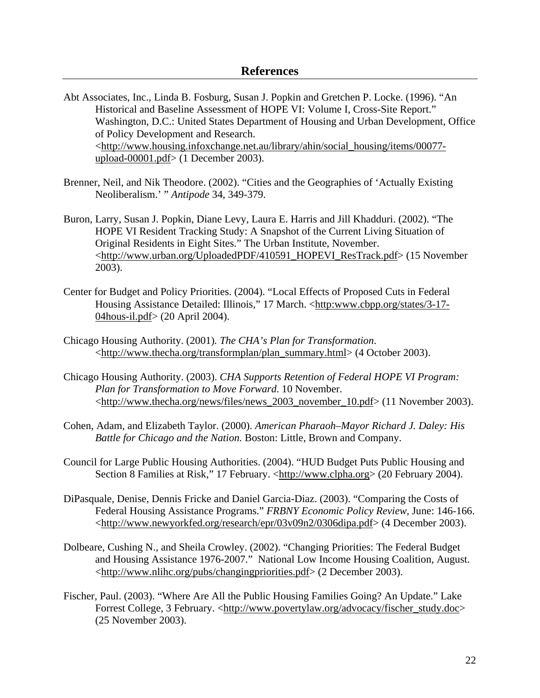- Abt Associates, Inc., Linda B. Fosburg, Susan J. Popkin and Gretchen P. Locke. (1996). "An Historical and Baseline Assessment of HOPE VI: Volume I, Cross-Site Report." Washington, D.C.: United States Department of Housing and Urban Development, Office of Policy Development and Research. <http://www.housing.infoxchange.net.au/library/ahin/social\_housing/items/00077 upload-00001.pdf> (1 December 2003).
- Brenner, Neil, and Nik Theodore. (2002). "Cities and the Geographies of 'Actually Existing Neoliberalism.' " *Antipode* 34, 349-379.
- Buron, Larry, Susan J. Popkin, Diane Levy, Laura E. Harris and Jill Khadduri. (2002). "The HOPE VI Resident Tracking Study: A Snapshot of the Current Living Situation of Original Residents in Eight Sites." The Urban Institute, November. <http://www.urban.org/UploadedPDF/410591\_HOPEVI\_ResTrack.pdf> (15 November 2003).
- Center for Budget and Policy Priorities. (2004). "Local Effects of Proposed Cuts in Federal Housing Assistance Detailed: Illinois," 17 March. <http:www.cbpp.org/states/3-17- 04hous-il.pdf> (20 April 2004).
- Chicago Housing Authority. (2001)*. The CHA's Plan for Transformation*. <http://www.thecha.org/transformplan/plan\_summary.html> (4 October 2003).
- Chicago Housing Authority. (2003). *CHA Supports Retention of Federal HOPE VI Program: Plan for Transformation to Move Forward*. 10 November. <http://www.thecha.org/news/files/news\_2003\_november\_10.pdf> (11 November 2003).
- Cohen, Adam, and Elizabeth Taylor. (2000). *American Pharaoh–Mayor Richard J. Daley: His Battle for Chicago and the Nation.* Boston: Little, Brown and Company.
- Council for Large Public Housing Authorities. (2004). "HUD Budget Puts Public Housing and Section 8 Families at Risk," 17 February. <http://www.clpha.org> (20 February 2004).
- DiPasquale, Denise, Dennis Fricke and Daniel Garcia-Diaz. (2003). "Comparing the Costs of Federal Housing Assistance Programs." *FRBNY Economic Policy Review,* June: 146-166. <http://www.newyorkfed.org/research/epr/03v09n2/0306dipa.pdf> (4 December 2003).
- Dolbeare, Cushing N., and Sheila Crowley. (2002). "Changing Priorities: The Federal Budget and Housing Assistance 1976-2007." National Low Income Housing Coalition, August. <http://www.nlihc.org/pubs/changingpriorities.pdf> (2 December 2003).
- Fischer, Paul. (2003). "Where Are All the Public Housing Families Going? An Update." Lake Forrest College, 3 February. <http://www.povertylaw.org/advocacy/fischer\_study.doc> (25 November 2003).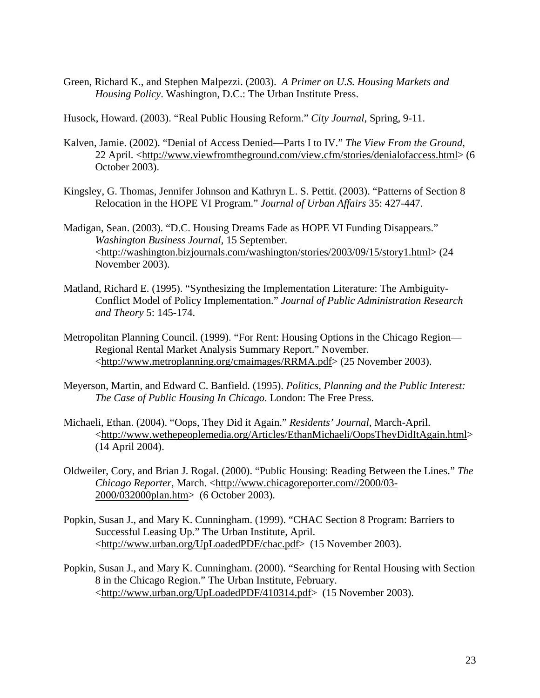Green, Richard K., and Stephen Malpezzi. (2003). *A Primer on U.S. Housing Markets and Housing Policy*. Washington, D.C.: The Urban Institute Press.

Husock, Howard. (2003). "Real Public Housing Reform." *City Journal*, Spring, 9-11.

- Kalven, Jamie. (2002). "Denial of Access Denied—Parts I to IV." *The View From the Ground*, 22 April. [<http://www.viewfromtheground.com/view.cfm/stories/denialofaccess.html>](http://www.viewfromtheground.com/view.cfm/stories/denialofaccess.html) (6 October 2003).
- Kingsley, G. Thomas, Jennifer Johnson and Kathryn L. S. Pettit. (2003). "Patterns of Section 8 Relocation in the HOPE VI Program." *Journal of Urban Affairs* 35: 427-447.
- Madigan, Sean. (2003). "D.C. Housing Dreams Fade as HOPE VI Funding Disappears." *Washington Business Journal*, 15 September. <http://washington.bizjournals.com/washington/stories/2003/09/15/story1.html> (24 November 2003).
- Matland, Richard E. (1995). "Synthesizing the Implementation Literature: The Ambiguity-Conflict Model of Policy Implementation." *Journal of Public Administration Research and Theory* 5: 145-174.
- Metropolitan Planning Council. (1999). "For Rent: Housing Options in the Chicago Region— Regional Rental Market Analysis Summary Report." November. <http://www.metroplanning.org/cmaimages/RRMA.pdf> (25 November 2003).
- Meyerson, Martin, and Edward C. Banfield. (1995). *Politics, Planning and the Public Interest: The Case of Public Housing In Chicago*. London: The Free Press.
- Michaeli, Ethan. (2004). "Oops, They Did it Again." *Residents' Journal*, March-April. <http://www.wethepeoplemedia.org/Articles/EthanMichaeli/OopsTheyDidItAgain.html> (14 April 2004).
- Oldweiler, Cory, and Brian J. Rogal. (2000). "Public Housing: Reading Between the Lines." *The Chicago Reporter*, March. <http://www.chicagoreporter.com//2000/03- 2000/032000plan.htm> (6 October 2003).
- Popkin, Susan J., and Mary K. Cunningham. (1999). "CHAC Section 8 Program: Barriers to Successful Leasing Up." The Urban Institute, April. <http://www.urban.org/UpLoadedPDF/chac.pdf> (15 November 2003).
- Popkin, Susan J., and Mary K. Cunningham. (2000). "Searching for Rental Housing with Section 8 in the Chicago Region." The Urban Institute, February. <http://www.urban.org/UpLoadedPDF/410314.pdf> (15 November 2003).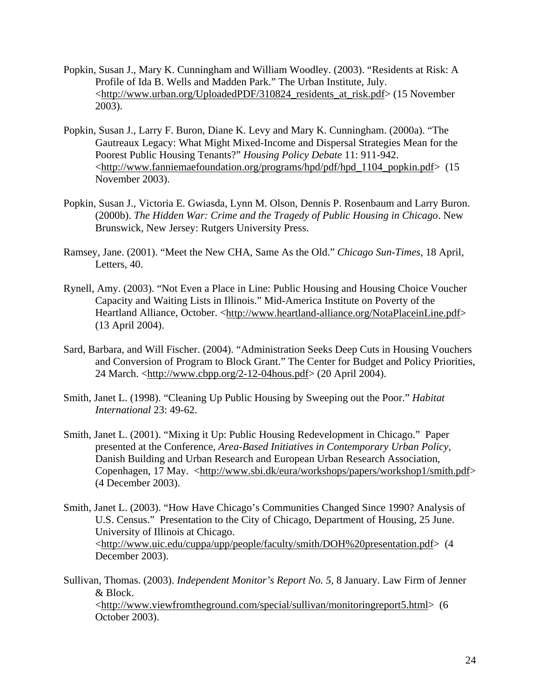- Popkin, Susan J., Mary K. Cunningham and William Woodley. (2003). "Residents at Risk: A Profile of Ida B. Wells and Madden Park." The Urban Institute, July. <[http://www.urban.org/UploadedPDF/310824\\_residents\\_at\\_risk.pdf](http://www.urban.org/UploadedPDF/310824_residents_at_risk.pdf)> (15 November 2003).
- Popkin, Susan J., Larry F. Buron, Diane K. Levy and Mary K. Cunningham. (2000a). "The Gautreaux Legacy: What Might Mixed-Income and Dispersal Strategies Mean for the Poorest Public Housing Tenants?" *Housing Policy Debate* 11: 911-942. <http://www.fanniemaefoundation.org/programs/hpd/pdf/hpd\_1104\_popkin.pdf> (15 November 2003).
- Popkin, Susan J., Victoria E. Gwiasda, Lynn M. Olson, Dennis P. Rosenbaum and Larry Buron. (2000b). *The Hidden War: Crime and the Tragedy of Public Housing in Chicago*. New Brunswick, New Jersey: Rutgers University Press.
- Ramsey, Jane. (2001). "Meet the New CHA, Same As the Old." *Chicago Sun-Times*, 18 April, Letters, 40.
- Rynell, Amy. (2003). "Not Even a Place in Line: Public Housing and Housing Choice Voucher Capacity and Waiting Lists in Illinois." Mid-America Institute on Poverty of the Heartland Alliance, October. <http://www.heartland-alliance.org/NotaPlaceinLine.pdf> (13 April 2004).
- Sard, Barbara, and Will Fischer. (2004). "Administration Seeks Deep Cuts in Housing Vouchers and Conversion of Program to Block Grant." The Center for Budget and Policy Priorities, 24 March. <http://www.cbpp.org/2-12-04hous.pdf> (20 April 2004).
- Smith, Janet L. (1998). "Cleaning Up Public Housing by Sweeping out the Poor." *Habitat International* 23: 49-62.
- Smith, Janet L. (2001). "Mixing it Up: Public Housing Redevelopment in Chicago." Paper presented at the Conference, *Area-Based Initiatives in Contemporary Urban Policy,*  Danish Building and Urban Research and European Urban Research Association, Copenhagen, 17 May. <http://www.sbi.dk/eura/workshops/papers/workshop1/smith.pdf> (4 December 2003).
- Smith, Janet L. (2003). "How Have Chicago's Communities Changed Since 1990? Analysis of U.S. Census." Presentation to the City of Chicago, Department of Housing, 25 June. University of Illinois at Chicago. <http://www.uic.edu/cuppa/upp/people/faculty/smith/DOH%20presentation.pdf> (4 December 2003).
- Sullivan, Thomas. (2003). *Independent Monitor's Report No. 5*, 8 January. Law Firm of Jenner & Block. <http://www.viewfromtheground.com/special/sullivan/monitoringreport5.html> (6 October 2003).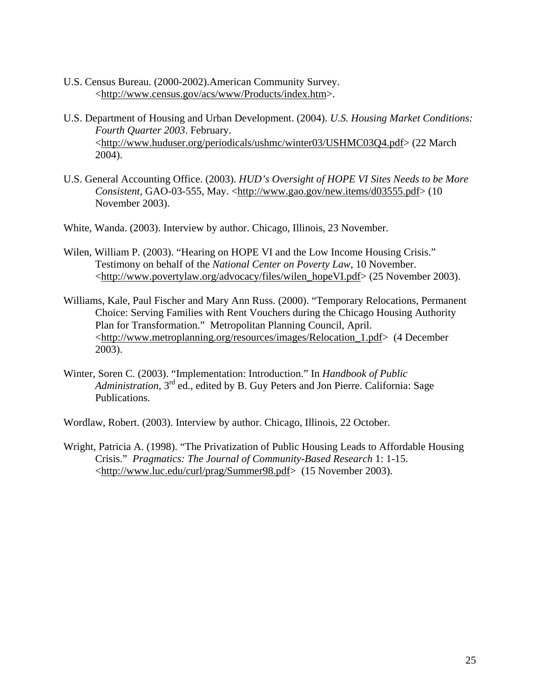- U.S. Census Bureau. (2000-2002).American Community Survey. <http://www.census.gov/acs/www/Products/index.htm>.
- U.S. Department of Housing and Urban Development. (2004). *U.S. Housing Market Conditions: Fourth Quarter 2003*. February. <http://www.huduser.org/periodicals/ushmc/winter03/USHMC03Q4.pdf> (22 March 2004).
- U.S. General Accounting Office. (2003). *HUD's Oversight of HOPE VI Sites Needs to be More Consistent*, GAO-03-555, May. <http://www.gao.gov/new.items/d03555.pdf> (10 November 2003).
- White, Wanda. (2003). Interview by author. Chicago, Illinois, 23 November.
- Wilen, William P. (2003). "Hearing on HOPE VI and the Low Income Housing Crisis." Testimony on behalf of the *National Center on Poverty Law*, 10 November. <[http://www.povertylaw.org/advocacy/files/wilen\\_hopeVI.pdf](http://www.povertylaw.org/advocacy/files/wilen_hopeVI.pdf)> (25 November 2003).
- Williams, Kale, Paul Fischer and Mary Ann Russ. (2000). "Temporary Relocations, Permanent Choice: Serving Families with Rent Vouchers during the Chicago Housing Authority Plan for Transformation." Metropolitan Planning Council, April. <http://www.metroplanning.org/resources/images/Relocation\_1.pdf> (4 December 2003).
- Winter, Soren C. (2003). "Implementation: Introduction." In *Handbook of Public Administration*, 3<sup>rd</sup> ed., edited by B. Guy Peters and Jon Pierre. California: Sage Publications.

Wordlaw, Robert. (2003). Interview by author. Chicago, Illinois, 22 October.

Wright, Patricia A. (1998). "The Privatization of Public Housing Leads to Affordable Housing Crisis." *Pragmatics: The Journal of Community-Based Research* 1: 1-15. <http://www.luc.edu/curl/prag/Summer98.pdf> (15 November 2003).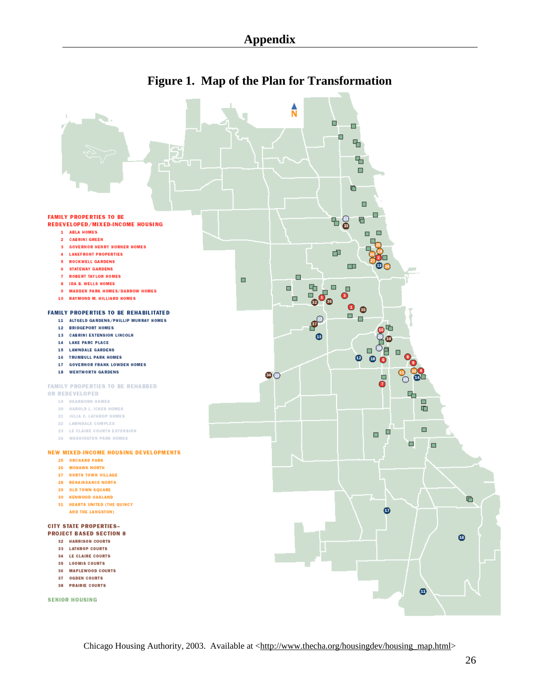

### **Figure 1. Map of the Plan for Transformation**